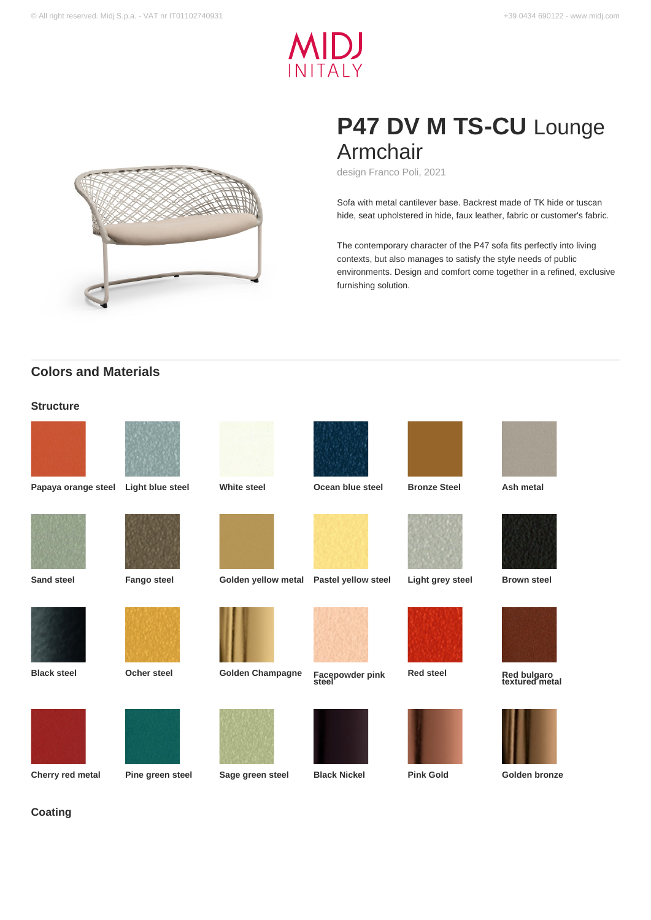



# **P47 DV M TS-CU** Lounge Armchair

design Franco Poli, 2021

Sofa with metal cantilever base. Backrest made of TK hide or tuscan hide, seat upholstered in hide, faux leather, fabric or customer's fabric.

The contemporary character of the P47 sofa fits perfectly into living contexts, but also manages to satisfy the style needs of public environments. Design and comfort come together in a refined, exclusive furnishing solution.

# **Colors and Materials**

### **Structure**





**Papaya orange steel Light blue steel White steel Ocean blue steel Bronze Steel Ash metal**

















**Cherry red metal Pine green steel Sage green steel Black Nickel Pink Gold Golden bronze**



**Facepowder pink**<br>steel











**Sand steel Fango steel Golden yellow metal Pastel yellow steel Light grey steel Brown steel**



**Red steel Red bulgaro textured metal**



### **Coating**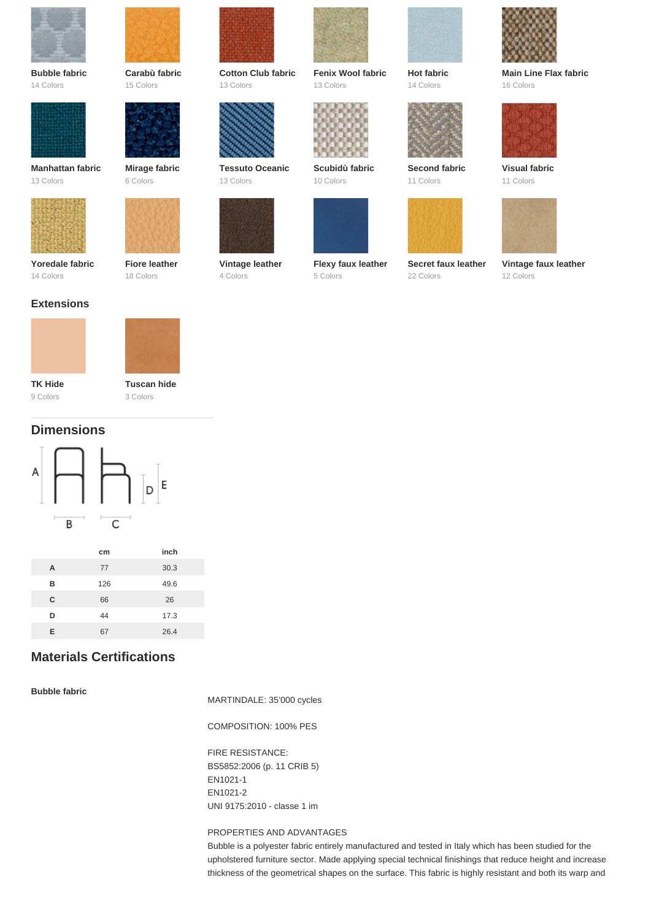

**Bubble fabric** 14 Colors



**Manhattan fabric** 13 Colors





18 Colors

**Fiore leather**



**Carabù fabric** 15 Colors

**Cotton Club fabric** 13 Colors



**Tessuto Oceanic** 13 Colors



4 Colors



**Fenix Wool fabric** 13 Colors



**Scubidù fabric** 10 Colors



**Flexy faux leather** 5 Colors



**Secret faux leather** 22 Colors

**Second fabric** 11 Colors

**Hot fabric** 14 Colors



**Main Line Flax fabric** 16 Colors



**Visual fabric** 11 Colors



**Vintage faux leather** 12 Colors

# **Extensions**

14 Colors





9 Colors

**Tuscan hide** 3 Colors

# **Dimensions**



| cm  | inch |
|-----|------|
| 77  | 30.3 |
| 126 | 49.6 |
| 66  | 26   |
| 44  | 17.3 |
| 67  | 26.4 |
|     |      |

# **Materials Certifications**

### **Bubble fabric**

MARTINDALE: 35'000 cycles

COMPOSITION: 100% PES

FIRE RESISTANCE: BS5852:2006 (p. 11 CRIB 5) EN1021-1 EN1021-2 UNI 9175:2010 - classe 1 im

#### PROPERTIES AND ADVANTAGES

Bubble is a polyester fabric entirely manufactured and tested in Italy which has been studied for the upholstered furniture sector. Made applying special technical finishings that reduce height and increase thickness of the geometrical shapes on the surface. This fabric is highly resistant and both its warp and

**Vintage leather**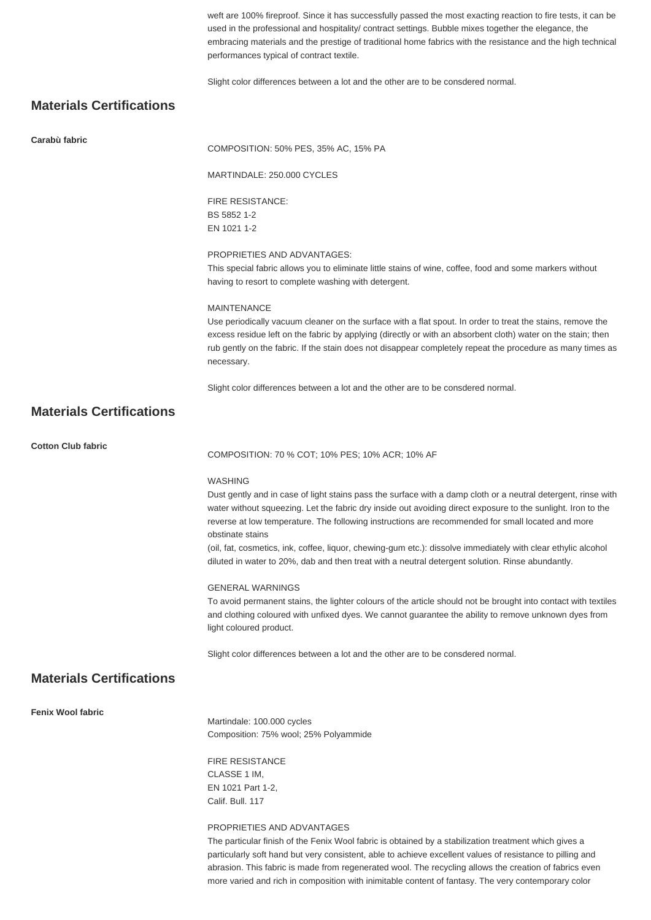weft are 100% fireproof. Since it has successfully passed the most exacting reaction to fire tests, it can be used in the professional and hospitality/ contract settings. Bubble mixes together the elegance, the embracing materials and the prestige of traditional home fabrics with the resistance and the high technical performances typical of contract textile.

Slight color differences between a lot and the other are to be consdered normal.

# **Materials Certifications**

| Carabù fabric                   | COMPOSITION: 50% PES, 35% AC, 15% PA                                                                                                                                                                                                                                                                                                                                                                                                                                                      |
|---------------------------------|-------------------------------------------------------------------------------------------------------------------------------------------------------------------------------------------------------------------------------------------------------------------------------------------------------------------------------------------------------------------------------------------------------------------------------------------------------------------------------------------|
|                                 | MARTINDALE: 250.000 CYCLES                                                                                                                                                                                                                                                                                                                                                                                                                                                                |
|                                 | <b>FIRE RESISTANCE:</b><br>BS 5852 1-2<br>EN 1021 1-2                                                                                                                                                                                                                                                                                                                                                                                                                                     |
|                                 | PROPRIETIES AND ADVANTAGES:<br>This special fabric allows you to eliminate little stains of wine, coffee, food and some markers without<br>having to resort to complete washing with detergent.                                                                                                                                                                                                                                                                                           |
|                                 | <b>MAINTENANCE</b><br>Use periodically vacuum cleaner on the surface with a flat spout. In order to treat the stains, remove the<br>excess residue left on the fabric by applying (directly or with an absorbent cloth) water on the stain; then<br>rub gently on the fabric. If the stain does not disappear completely repeat the procedure as many times as<br>necessary.                                                                                                              |
|                                 | Slight color differences between a lot and the other are to be consdered normal.                                                                                                                                                                                                                                                                                                                                                                                                          |
| <b>Materials Certifications</b> |                                                                                                                                                                                                                                                                                                                                                                                                                                                                                           |
| <b>Cotton Club fabric</b>       | COMPOSITION: 70 % COT; 10% PES; 10% ACR; 10% AF                                                                                                                                                                                                                                                                                                                                                                                                                                           |
|                                 | <b>WASHING</b><br>Dust gently and in case of light stains pass the surface with a damp cloth or a neutral detergent, rinse with<br>water without squeezing. Let the fabric dry inside out avoiding direct exposure to the sunlight. Iron to the<br>reverse at low temperature. The following instructions are recommended for small located and more<br>obstinate stains<br>(oil, fat, cosmetics, ink, coffee, liquor, chewing-gum etc.): dissolve immediately with clear ethylic alcohol |
|                                 | diluted in water to 20%, dab and then treat with a neutral detergent solution. Rinse abundantly.                                                                                                                                                                                                                                                                                                                                                                                          |
|                                 | <b>GENERAL WARNINGS</b><br>To avoid permanent stains, the lighter colours of the article should not be brought into contact with textiles<br>and clothing coloured with unfixed dyes. We cannot guarantee the ability to remove unknown dyes from<br>light coloured product.                                                                                                                                                                                                              |
|                                 | Slight color differences between a lot and the other are to be consdered normal.                                                                                                                                                                                                                                                                                                                                                                                                          |
| <b>Materials Certifications</b> |                                                                                                                                                                                                                                                                                                                                                                                                                                                                                           |
| <b>Fenix Wool fabric</b>        | Martindale: 100.000 cycles<br>Composition: 75% wool; 25% Polyammide                                                                                                                                                                                                                                                                                                                                                                                                                       |
|                                 | <b>FIRE RESISTANCE</b><br>CLASSE 1 IM,<br>EN 1021 Part 1-2,<br>Calif. Bull. 117                                                                                                                                                                                                                                                                                                                                                                                                           |
|                                 | PROPRIETIES AND ADVANTAGES<br>The particular finish of the Fenix Wool fabric is obtained by a stabilization treatment which gives a<br>particularly soft hand but very consistent, able to achieve excellent values of resistance to pilling and<br>abrasion. This fabric is made from regenerated wool. The recycling allows the creation of fabrics even<br>more varied and rich in composition with inimitable content of fantasy. The very contemporary color                         |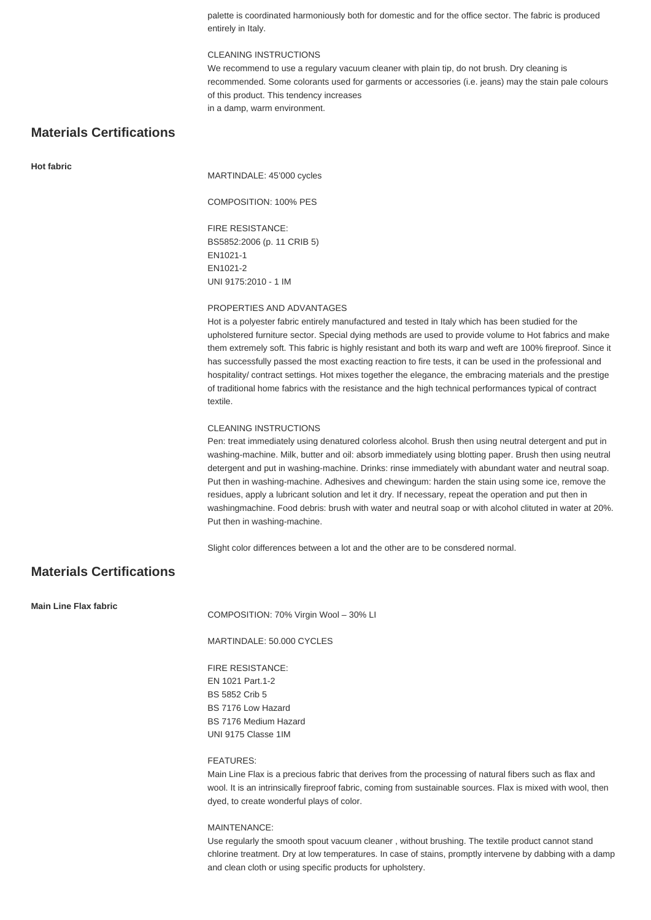palette is coordinated harmoniously both for domestic and for the office sector. The fabric is produced entirely in Italy.

#### CLEANING INSTRUCTIONS

We recommend to use a regulary vacuum cleaner with plain tip, do not brush. Dry cleaning is recommended. Some colorants used for garments or accessories (i.e. jeans) may the stain pale colours of this product. This tendency increases in a damp, warm environment.

## **Materials Certifications**

#### **Hot fabric**

MARTINDALE: 45'000 cycles

COMPOSITION: 100% PES

FIRE RESISTANCE: BS5852:2006 (p. 11 CRIB 5) EN1021-1 EN1021-2 UNI 9175:2010 - 1 IM

#### PROPERTIES AND ADVANTAGES

Hot is a polyester fabric entirely manufactured and tested in Italy which has been studied for the upholstered furniture sector. Special dying methods are used to provide volume to Hot fabrics and make them extremely soft. This fabric is highly resistant and both its warp and weft are 100% fireproof. Since it has successfully passed the most exacting reaction to fire tests, it can be used in the professional and hospitality/ contract settings. Hot mixes together the elegance, the embracing materials and the prestige of traditional home fabrics with the resistance and the high technical performances typical of contract textile.

#### CLEANING INSTRUCTIONS

Pen: treat immediately using denatured colorless alcohol. Brush then using neutral detergent and put in washing-machine. Milk, butter and oil: absorb immediately using blotting paper. Brush then using neutral detergent and put in washing-machine. Drinks: rinse immediately with abundant water and neutral soap. Put then in washing-machine. Adhesives and chewingum: harden the stain using some ice, remove the residues, apply a lubricant solution and let it dry. If necessary, repeat the operation and put then in washingmachine. Food debris: brush with water and neutral soap or with alcohol clituted in water at 20%. Put then in washing-machine.

Slight color differences between a lot and the other are to be consdered normal.

## **Materials Certifications**

**Main Line Flax fabric**

COMPOSITION: 70% Virgin Wool – 30% LI

MARTINDALE: 50.000 CYCLES

FIRE RESISTANCE: EN 1021 Part.1-2 BS 5852 Crib 5 BS 7176 Low Hazard BS 7176 Medium Hazard UNI 9175 Classe 1IM

#### FEATURES:

Main Line Flax is a precious fabric that derives from the processing of natural fibers such as flax and wool. It is an intrinsically fireproof fabric, coming from sustainable sources. Flax is mixed with wool, then dyed, to create wonderful plays of color.

#### MAINTENANCE:

Use regularly the smooth spout vacuum cleaner , without brushing. The textile product cannot stand chlorine treatment. Dry at low temperatures. In case of stains, promptly intervene by dabbing with a damp and clean cloth or using specific products for upholstery.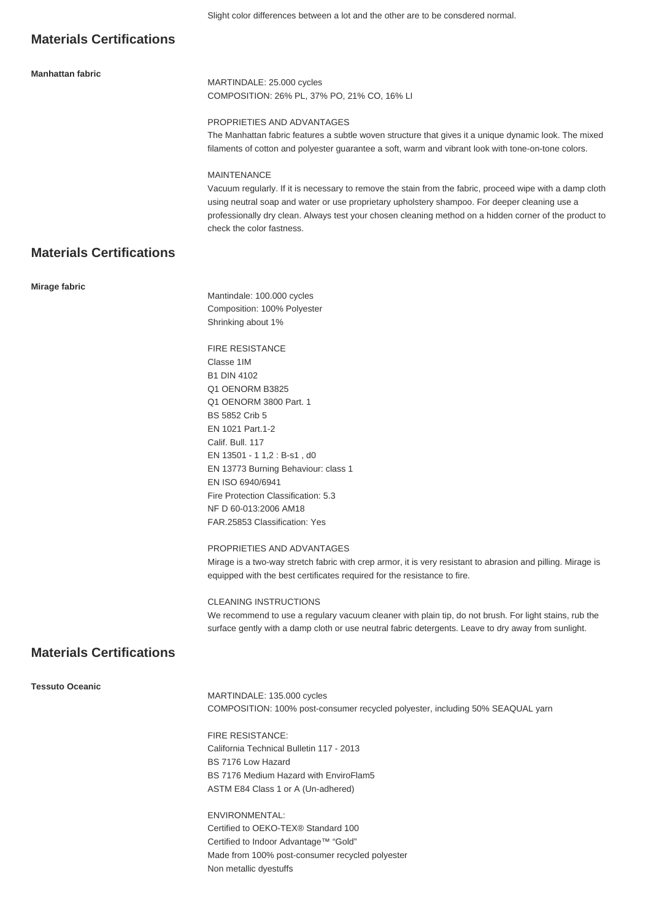### **Materials Certifications**

#### **Manhattan fabric**

MARTINDALE: 25.000 cycles COMPOSITION: 26% PL, 37% PO, 21% CO, 16% LI

#### PROPRIETIES AND ADVANTAGES

The Manhattan fabric features a subtle woven structure that gives it a unique dynamic look. The mixed filaments of cotton and polyester guarantee a soft, warm and vibrant look with tone-on-tone colors.

#### MAINTENANCE

Vacuum regularly. If it is necessary to remove the stain from the fabric, proceed wipe with a damp cloth using neutral soap and water or use proprietary upholstery shampoo. For deeper cleaning use a professionally dry clean. Always test your chosen cleaning method on a hidden corner of the product to check the color fastness.

## **Materials Certifications**

#### **Mirage fabric**

Mantindale: 100.000 cycles Composition: 100% Polyester Shrinking about 1%

FIRE RESISTANCE Classe 1IM B1 DIN 4102 Q1 OENORM B3825 Q1 OENORM 3800 Part. 1 BS 5852 Crib 5 EN 1021 Part.1-2 Calif. Bull. 117 EN 13501 - 1 1,2 : B-s1 , d0 EN 13773 Burning Behaviour: class 1 EN ISO 6940/6941 Fire Protection Classification: 5.3 NF D 60-013:2006 AM18 FAR.25853 Classification: Yes

PROPRIETIES AND ADVANTAGES

Mirage is a two-way stretch fabric with crep armor, it is very resistant to abrasion and pilling. Mirage is equipped with the best certificates required for the resistance to fire.

#### CLEANING INSTRUCTIONS

We recommend to use a regulary vacuum cleaner with plain tip, do not brush. For light stains, rub the surface gently with a damp cloth or use neutral fabric detergents. Leave to dry away from sunlight.

### **Materials Certifications**

**Tessuto Oceanic**

MARTINDALE: 135.000 cycles COMPOSITION: 100% post-consumer recycled polyester, including 50% SEAQUAL yarn

FIRE RESISTANCE: California Technical Bulletin 117 - 2013 BS 7176 Low Hazard BS 7176 Medium Hazard with EnviroFlam5 ASTM E84 Class 1 or A (Un-adhered)

ENVIRONMENTAL: Certified to OEKO-TEX® Standard 100 Certified to Indoor Advantage™ "Gold" Made from 100% post-consumer recycled polyester Non metallic dyestuffs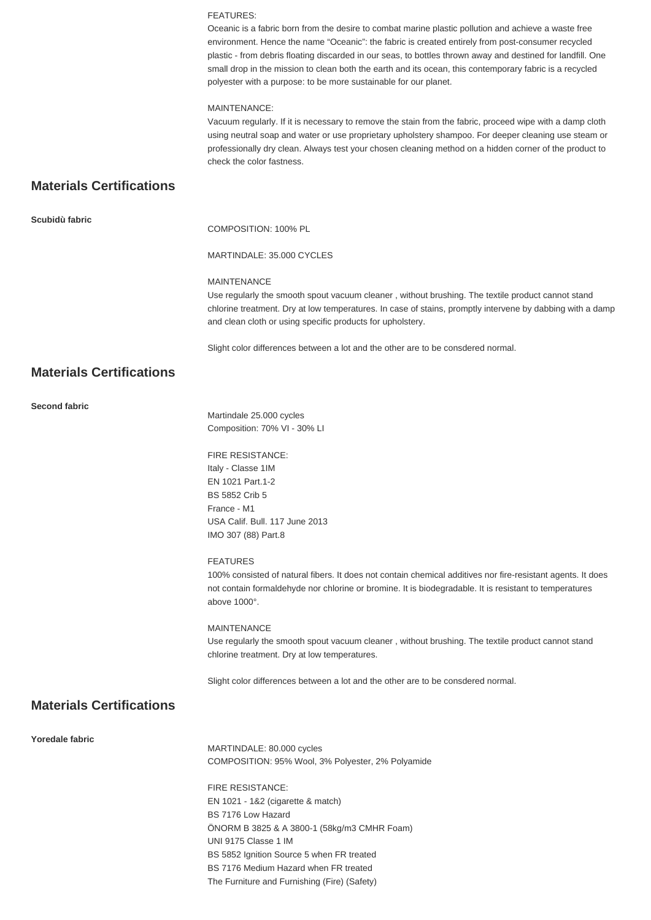#### FEATURES:

Oceanic is a fabric born from the desire to combat marine plastic pollution and achieve a waste free environment. Hence the name "Oceanic": the fabric is created entirely from post-consumer recycled plastic - from debris floating discarded in our seas, to bottles thrown away and destined for landfill. One small drop in the mission to clean both the earth and its ocean, this contemporary fabric is a recycled polyester with a purpose: to be more sustainable for our planet.

#### MAINTENANCE:

Vacuum regularly. If it is necessary to remove the stain from the fabric, proceed wipe with a damp cloth using neutral soap and water or use proprietary upholstery shampoo. For deeper cleaning use steam or professionally dry clean. Always test your chosen cleaning method on a hidden corner of the product to check the color fastness.

# **Materials Certifications**

**Scubidù fabric**

COMPOSITION: 100% PL

#### MARTINDALE: 35.000 CYCLES

#### MAINTENANCE

Use regularly the smooth spout vacuum cleaner , without brushing. The textile product cannot stand chlorine treatment. Dry at low temperatures. In case of stains, promptly intervene by dabbing with a damp and clean cloth or using specific products for upholstery.

Slight color differences between a lot and the other are to be consdered normal.

# **Materials Certifications**

#### **Second fabric**

Martindale 25.000 cycles Composition: 70% VI - 30% LI

FIRE RESISTANCE: Italy - Classe 1IM EN 1021 Part.1-2 BS 5852 Crib 5 France - M1 USA Calif. Bull. 117 June 2013 IMO 307 (88) Part.8

#### FEATURES

100% consisted of natural fibers. It does not contain chemical additives nor fire-resistant agents. It does not contain formaldehyde nor chlorine or bromine. It is biodegradable. It is resistant to temperatures above 1000°.

#### MAINTENANCE

Use regularly the smooth spout vacuum cleaner , without brushing. The textile product cannot stand chlorine treatment. Dry at low temperatures.

Slight color differences between a lot and the other are to be consdered normal.

### **Materials Certifications**

#### **Yoredale fabric**

MARTINDALE: 80.000 cycles COMPOSITION: 95% Wool, 3% Polyester, 2% Polyamide

FIRE RESISTANCE: EN 1021 - 1&2 (cigarette & match) BS 7176 Low Hazard ÖNORM B 3825 & A 3800-1 (58kg/m3 CMHR Foam) UNI 9175 Classe 1 IM BS 5852 Ignition Source 5 when FR treated BS 7176 Medium Hazard when FR treated The Furniture and Furnishing (Fire) (Safety)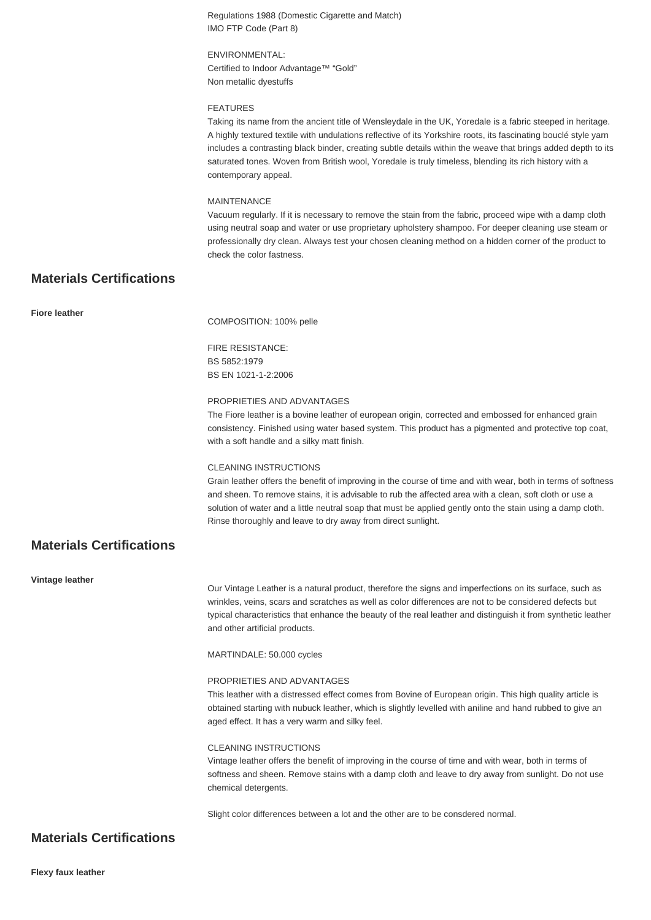Regulations 1988 (Domestic Cigarette and Match) IMO FTP Code (Part 8)

ENVIRONMENTAL: Certified to Indoor Advantage™ "Gold" Non metallic dyestuffs

#### FEATURES

Taking its name from the ancient title of Wensleydale in the UK, Yoredale is a fabric steeped in heritage. A highly textured textile with undulations reflective of its Yorkshire roots, its fascinating bouclé style yarn includes a contrasting black binder, creating subtle details within the weave that brings added depth to its saturated tones. Woven from British wool, Yoredale is truly timeless, blending its rich history with a contemporary appeal.

#### **MAINTENANCE**

Vacuum regularly. If it is necessary to remove the stain from the fabric, proceed wipe with a damp cloth using neutral soap and water or use proprietary upholstery shampoo. For deeper cleaning use steam or professionally dry clean. Always test your chosen cleaning method on a hidden corner of the product to check the color fastness.

### **Materials Certifications**

#### **Fiore leather**

COMPOSITION: 100% pelle

FIRE RESISTANCE: BS 5852:1979 BS EN 1021-1-2:2006

#### PROPRIETIES AND ADVANTAGES

The Fiore leather is a bovine leather of european origin, corrected and embossed for enhanced grain consistency. Finished using water based system. This product has a pigmented and protective top coat, with a soft handle and a silky matt finish.

#### CLEANING INSTRUCTIONS

Grain leather offers the benefit of improving in the course of time and with wear, both in terms of softness and sheen. To remove stains, it is advisable to rub the affected area with a clean, soft cloth or use a solution of water and a little neutral soap that must be applied gently onto the stain using a damp cloth. Rinse thoroughly and leave to dry away from direct sunlight.

# **Materials Certifications**

**Vintage leather**

Our Vintage Leather is a natural product, therefore the signs and imperfections on its surface, such as wrinkles, veins, scars and scratches as well as color differences are not to be considered defects but typical characteristics that enhance the beauty of the real leather and distinguish it from synthetic leather and other artificial products.

MARTINDALE: 50.000 cycles

#### PROPRIETIES AND ADVANTAGES

This leather with a distressed effect comes from Bovine of European origin. This high quality article is obtained starting with nubuck leather, which is slightly levelled with aniline and hand rubbed to give an aged effect. It has a very warm and silky feel.

#### CLEANING INSTRUCTIONS

Vintage leather offers the benefit of improving in the course of time and with wear, both in terms of softness and sheen. Remove stains with a damp cloth and leave to dry away from sunlight. Do not use chemical detergents.

Slight color differences between a lot and the other are to be consdered normal.

### **Materials Certifications**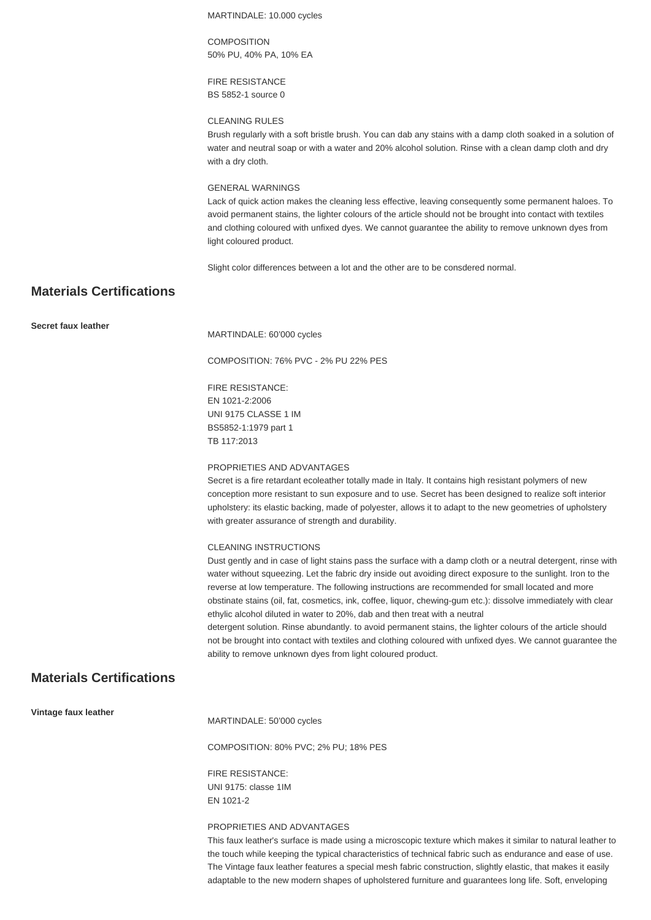MARTINDALE: 10.000 cycles

**COMPOSITION** 50% PU, 40% PA, 10% EA

FIRE RESISTANCE BS 5852-1 source 0

#### CLEANING RULES

Brush regularly with a soft bristle brush. You can dab any stains with a damp cloth soaked in a solution of water and neutral soap or with a water and 20% alcohol solution. Rinse with a clean damp cloth and dry with a dry cloth.

#### GENERAL WARNINGS

Lack of quick action makes the cleaning less effective, leaving consequently some permanent haloes. To avoid permanent stains, the lighter colours of the article should not be brought into contact with textiles and clothing coloured with unfixed dyes. We cannot guarantee the ability to remove unknown dyes from light coloured product.

Slight color differences between a lot and the other are to be consdered normal.

# **Materials Certifications**

**Secret faux leather**

MARTINDALE: 60'000 cycles

COMPOSITION: 76% PVC - 2% PU 22% PES

FIRE RESISTANCE: EN 1021-2:2006 UNI 9175 CLASSE 1 IM BS5852-1:1979 part 1 TB 117:2013

#### PROPRIETIES AND ADVANTAGES

Secret is a fire retardant ecoleather totally made in Italy. It contains high resistant polymers of new conception more resistant to sun exposure and to use. Secret has been designed to realize soft interior upholstery: its elastic backing, made of polyester, allows it to adapt to the new geometries of upholstery with greater assurance of strength and durability.

#### CLEANING INSTRUCTIONS

Dust gently and in case of light stains pass the surface with a damp cloth or a neutral detergent, rinse with water without squeezing. Let the fabric dry inside out avoiding direct exposure to the sunlight. Iron to the reverse at low temperature. The following instructions are recommended for small located and more obstinate stains (oil, fat, cosmetics, ink, coffee, liquor, chewing-gum etc.): dissolve immediately with clear ethylic alcohol diluted in water to 20%, dab and then treat with a neutral

detergent solution. Rinse abundantly. to avoid permanent stains, the lighter colours of the article should not be brought into contact with textiles and clothing coloured with unfixed dyes. We cannot guarantee the ability to remove unknown dyes from light coloured product.

# **Materials Certifications**

**Vintage faux leather**

MARTINDALE: 50'000 cycles

COMPOSITION: 80% PVC; 2% PU; 18% PES

FIRE RESISTANCE: UNI 9175: classe 1IM EN 1021-2

#### PROPRIETIES AND ADVANTAGES

This faux leather's surface is made using a microscopic texture which makes it similar to natural leather to the touch while keeping the typical characteristics of technical fabric such as endurance and ease of use. The Vintage faux leather features a special mesh fabric construction, slightly elastic, that makes it easily adaptable to the new modern shapes of upholstered furniture and guarantees long life. Soft, enveloping